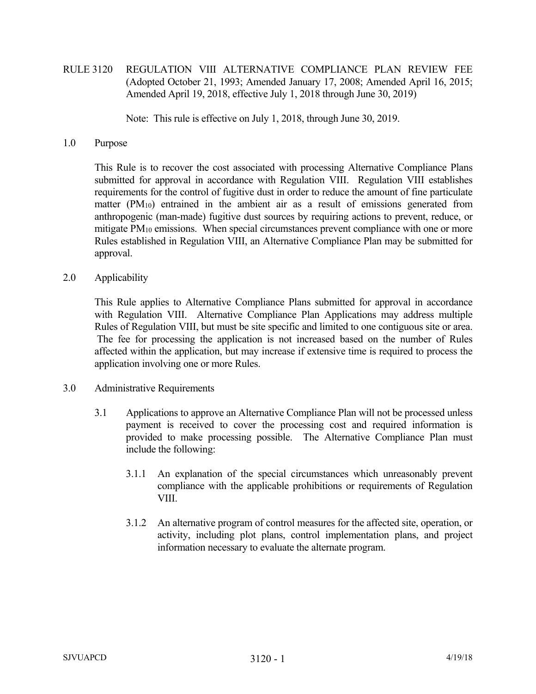RULE 3120 REGULATION VIII ALTERNATIVE COMPLIANCE PLAN REVIEW FEE (Adopted October 21, 1993; Amended January 17, 2008; Amended April 16, 2015; Amended April 19, 2018, effective July 1, 2018 through June 30, 2019)

Note: This rule is effective on July 1, 2018, through June 30, 2019.

1.0 Purpose

 This Rule is to recover the cost associated with processing Alternative Compliance Plans submitted for approval in accordance with Regulation VIII. Regulation VIII establishes requirements for the control of fugitive dust in order to reduce the amount of fine particulate matter (PM10) entrained in the ambient air as a result of emissions generated from anthropogenic (man-made) fugitive dust sources by requiring actions to prevent, reduce, or mitigate PM<sub>10</sub> emissions. When special circumstances prevent compliance with one or more Rules established in Regulation VIII, an Alternative Compliance Plan may be submitted for approval.

2.0 Applicability

 This Rule applies to Alternative Compliance Plans submitted for approval in accordance with Regulation VIII. Alternative Compliance Plan Applications may address multiple Rules of Regulation VIII, but must be site specific and limited to one contiguous site or area. The fee for processing the application is not increased based on the number of Rules affected within the application, but may increase if extensive time is required to process the application involving one or more Rules.

- 3.0 Administrative Requirements
	- 3.1 Applications to approve an Alternative Compliance Plan will not be processed unless payment is received to cover the processing cost and required information is provided to make processing possible. The Alternative Compliance Plan must include the following:
		- 3.1.1 An explanation of the special circumstances which unreasonably prevent compliance with the applicable prohibitions or requirements of Regulation VIII.
		- 3.1.2 An alternative program of control measures for the affected site, operation, or activity, including plot plans, control implementation plans, and project information necessary to evaluate the alternate program.